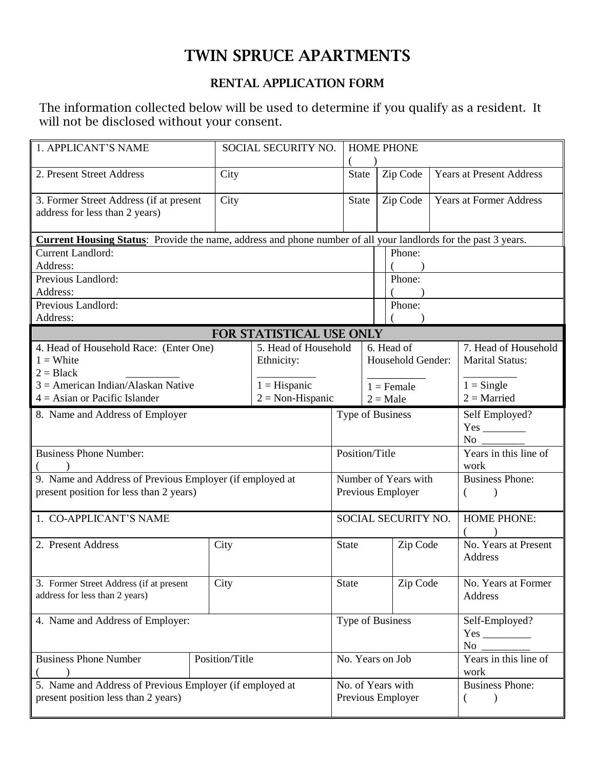## TWIN SPRUCE APARTMENTS

## RENTAL APPLICATION FORM

The information collected below will be used to determine if you qualify as a resident. It will not be disclosed without your consent.

| 1. APPLICANT'S NAME                                                                                                   |                          | SOCIAL SECURITY NO.                       |                                        | <b>HOME PHONE</b>               |                             |                        |                                                |  |  |
|-----------------------------------------------------------------------------------------------------------------------|--------------------------|-------------------------------------------|----------------------------------------|---------------------------------|-----------------------------|------------------------|------------------------------------------------|--|--|
| 2. Present Street Address                                                                                             | City                     |                                           |                                        | <b>State</b>                    | Zip Code                    |                        | <b>Years at Present Address</b>                |  |  |
| 3. Former Street Address (if at present<br>address for less than 2 years)                                             | City                     |                                           |                                        | <b>State</b>                    | Zip Code                    |                        | <b>Years at Former Address</b>                 |  |  |
| <b>Current Housing Status:</b> Provide the name, address and phone number of all your landlords for the past 3 years. |                          |                                           |                                        |                                 |                             |                        |                                                |  |  |
| <b>Current Landlord:</b>                                                                                              |                          |                                           |                                        |                                 | Phone:                      |                        |                                                |  |  |
| Address:                                                                                                              |                          |                                           |                                        |                                 |                             |                        |                                                |  |  |
| Previous Landlord:                                                                                                    |                          |                                           | Phone:                                 |                                 |                             |                        |                                                |  |  |
| Address:                                                                                                              |                          |                                           |                                        |                                 |                             |                        |                                                |  |  |
| Previous Landlord:                                                                                                    |                          |                                           | Phone:                                 |                                 |                             |                        |                                                |  |  |
| Address:                                                                                                              |                          |                                           |                                        |                                 |                             |                        |                                                |  |  |
|                                                                                                                       | FOR STATISTICAL USE ONLY |                                           |                                        |                                 |                             |                        |                                                |  |  |
| 4. Head of Household Race: (Enter One)                                                                                |                          | 5. Head of Household                      |                                        | 6. Head of<br>Household Gender: |                             |                        | 7. Head of Household<br><b>Marital Status:</b> |  |  |
| $1 =$ White<br>$2 = Black$                                                                                            |                          | Ethnicity:                                |                                        |                                 |                             |                        |                                                |  |  |
| $3 =$ American Indian/Alaskan Native                                                                                  |                          | $1 =$ Hispanic                            |                                        |                                 |                             |                        | $1 =$ Single                                   |  |  |
| $4 =$ Asian or Pacific Islander                                                                                       |                          | $2 = Non-Hispanic$                        |                                        |                                 | $1 =$ Female<br>$2 = Male$  |                        | $2 =$ Married                                  |  |  |
|                                                                                                                       |                          |                                           | Type of Business                       |                                 |                             |                        |                                                |  |  |
| 8. Name and Address of Employer                                                                                       |                          |                                           |                                        |                                 |                             |                        | Self Employed?                                 |  |  |
|                                                                                                                       |                          |                                           |                                        |                                 |                             |                        | $No \ \underline{\hspace{1cm}}$                |  |  |
| <b>Business Phone Number:</b>                                                                                         |                          |                                           | Position/Title                         |                                 |                             |                        | Years in this line of<br>work                  |  |  |
| 9. Name and Address of Previous Employer (if employed at<br>present position for less than 2 years)                   |                          | Number of Years with<br>Previous Employer |                                        |                                 | <b>Business Phone:</b><br>( |                        |                                                |  |  |
|                                                                                                                       |                          | SOCIAL SECURITY NO.                       |                                        |                                 |                             |                        |                                                |  |  |
| 1. CO-APPLICANT'S NAME                                                                                                |                          |                                           |                                        |                                 |                             |                        | <b>HOME PHONE:</b>                             |  |  |
| 2. Present Address                                                                                                    | City                     |                                           | <b>State</b>                           |                                 | Zip Code                    |                        | No. Years at Present<br>Address                |  |  |
| 3. Former Street Address (if at present<br>address for less than 2 years)                                             | City                     |                                           | State                                  |                                 | Zip Code                    |                        | No. Years at Former<br>Address                 |  |  |
| 4. Name and Address of Employer:                                                                                      |                          |                                           | Type of Business                       |                                 |                             | Self-Employed?<br>No   |                                                |  |  |
| <b>Business Phone Number</b>                                                                                          | Position/Title           |                                           |                                        |                                 | No. Years on Job            |                        | Years in this line of<br>work                  |  |  |
| 5. Name and Address of Previous Employer (if employed at<br>present position less than 2 years)                       |                          |                                           | No. of Years with<br>Previous Employer |                                 |                             | <b>Business Phone:</b> |                                                |  |  |
|                                                                                                                       |                          |                                           |                                        |                                 |                             |                        |                                                |  |  |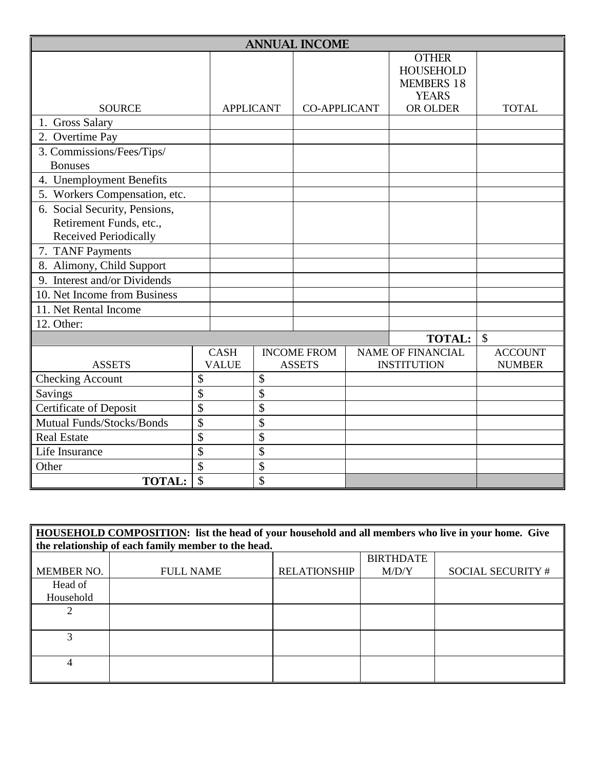| <b>ANNUAL INCOME</b>             |                 |                  |                           |                     |  |                                                                       |                |  |
|----------------------------------|-----------------|------------------|---------------------------|---------------------|--|-----------------------------------------------------------------------|----------------|--|
|                                  |                 |                  |                           |                     |  | <b>OTHER</b><br><b>HOUSEHOLD</b><br><b>MEMBERS 18</b><br><b>YEARS</b> |                |  |
| <b>SOURCE</b>                    |                 | <b>APPLICANT</b> |                           | <b>CO-APPLICANT</b> |  | OR OLDER                                                              | <b>TOTAL</b>   |  |
| 1. Gross Salary                  |                 |                  |                           |                     |  |                                                                       |                |  |
| 2. Overtime Pay                  |                 |                  |                           |                     |  |                                                                       |                |  |
| 3. Commissions/Fees/Tips/        |                 |                  |                           |                     |  |                                                                       |                |  |
| <b>Bonuses</b>                   |                 |                  |                           |                     |  |                                                                       |                |  |
| 4. Unemployment Benefits         |                 |                  |                           |                     |  |                                                                       |                |  |
| 5. Workers Compensation, etc.    |                 |                  |                           |                     |  |                                                                       |                |  |
| 6. Social Security, Pensions,    |                 |                  |                           |                     |  |                                                                       |                |  |
| Retirement Funds, etc.,          |                 |                  |                           |                     |  |                                                                       |                |  |
| <b>Received Periodically</b>     |                 |                  |                           |                     |  |                                                                       |                |  |
| 7. TANF Payments                 |                 |                  |                           |                     |  |                                                                       |                |  |
| 8. Alimony, Child Support        |                 |                  |                           |                     |  |                                                                       |                |  |
| 9. Interest and/or Dividends     |                 |                  |                           |                     |  |                                                                       |                |  |
| 10. Net Income from Business     |                 |                  |                           |                     |  |                                                                       |                |  |
| 11. Net Rental Income            |                 |                  |                           |                     |  |                                                                       |                |  |
| 12. Other:                       |                 |                  |                           |                     |  |                                                                       |                |  |
|                                  |                 |                  |                           |                     |  | <b>TOTAL:</b>                                                         | $\mathcal{S}$  |  |
|                                  |                 | <b>CASH</b>      |                           | <b>INCOME FROM</b>  |  | <b>NAME OF FINANCIAL</b>                                              | <b>ACCOUNT</b> |  |
| <b>ASSETS</b>                    |                 | <b>VALUE</b>     |                           | <b>ASSETS</b>       |  | <b>INSTITUTION</b>                                                    | <b>NUMBER</b>  |  |
| <b>Checking Account</b>          | \$              |                  | \$                        |                     |  |                                                                       |                |  |
| Savings                          | $\overline{\$}$ |                  | \$                        |                     |  |                                                                       |                |  |
| <b>Certificate of Deposit</b>    | \$              |                  | \$                        |                     |  |                                                                       |                |  |
| <b>Mutual Funds/Stocks/Bonds</b> | \$              |                  | \$                        |                     |  |                                                                       |                |  |
| <b>Real Estate</b>               | \$              |                  | \$                        |                     |  |                                                                       |                |  |
| Life Insurance                   | \$              |                  | \$                        |                     |  |                                                                       |                |  |
| Other                            | \$              |                  | \$                        |                     |  |                                                                       |                |  |
| <b>TOTAL:</b>                    | \$              |                  | $\boldsymbol{\mathsf{S}}$ |                     |  |                                                                       |                |  |

| <b>HOUSEHOLD COMPOSITION:</b> list the head of your household and all members who live in your home. Give<br>the relationship of each family member to the head. |                  |                     |                  |                          |  |  |  |  |
|------------------------------------------------------------------------------------------------------------------------------------------------------------------|------------------|---------------------|------------------|--------------------------|--|--|--|--|
|                                                                                                                                                                  |                  |                     | <b>BIRTHDATE</b> |                          |  |  |  |  |
| MEMBER NO.                                                                                                                                                       | <b>FULL NAME</b> | <b>RELATIONSHIP</b> | M/D/Y            | <b>SOCIAL SECURITY #</b> |  |  |  |  |
| Head of                                                                                                                                                          |                  |                     |                  |                          |  |  |  |  |
| Household                                                                                                                                                        |                  |                     |                  |                          |  |  |  |  |
|                                                                                                                                                                  |                  |                     |                  |                          |  |  |  |  |
|                                                                                                                                                                  |                  |                     |                  |                          |  |  |  |  |
|                                                                                                                                                                  |                  |                     |                  |                          |  |  |  |  |
|                                                                                                                                                                  |                  |                     |                  |                          |  |  |  |  |
| 4                                                                                                                                                                |                  |                     |                  |                          |  |  |  |  |
|                                                                                                                                                                  |                  |                     |                  |                          |  |  |  |  |